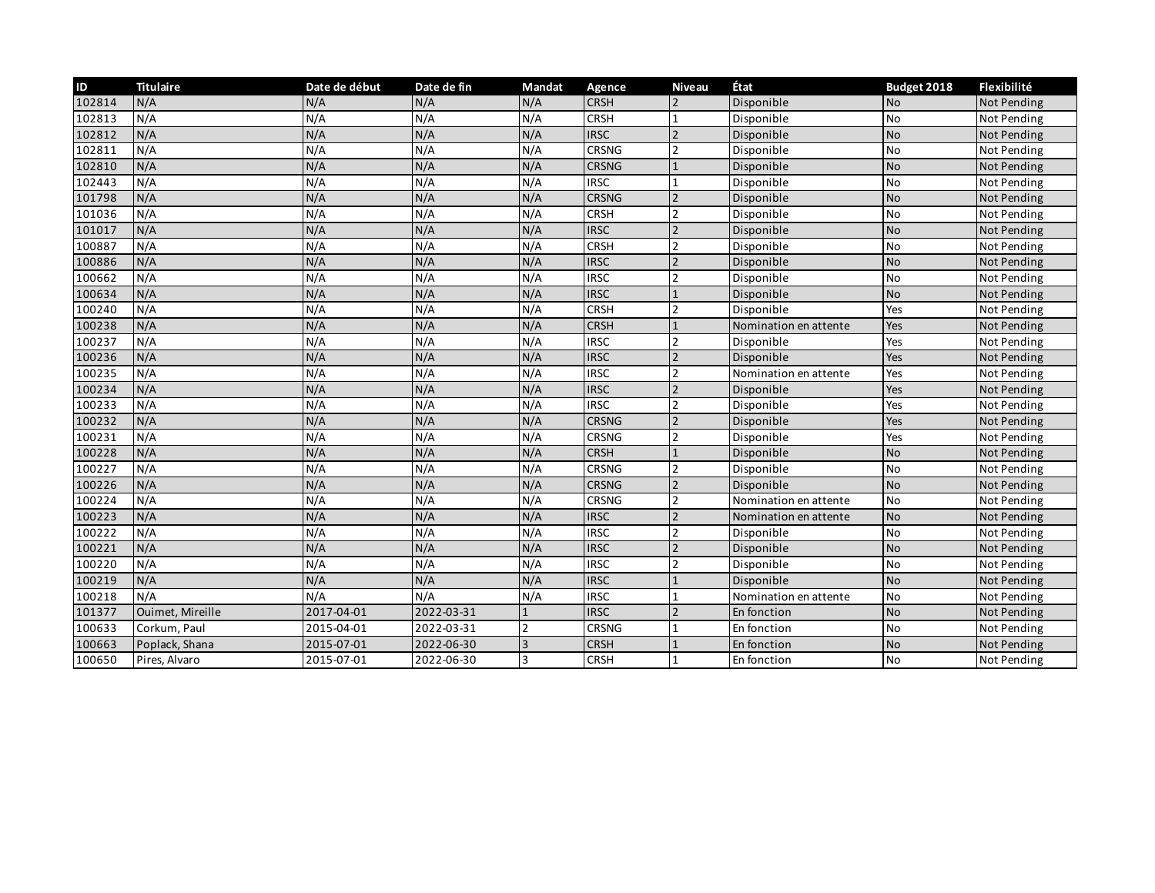| ID     | <b>Titulaire</b> | Date de début | Date de fin | <b>Mandat</b>  | Agence       | <b>Niveau</b>  | État                  | Budget 2018 | Flexibilité |
|--------|------------------|---------------|-------------|----------------|--------------|----------------|-----------------------|-------------|-------------|
| 102814 | N/A              | N/A           | N/A         | N/A            | <b>CRSH</b>  |                | Disponible            | <b>No</b>   | Not Pending |
| 102813 | N/A              | N/A           | N/A         | N/A            | <b>CRSH</b>  |                | Disponible            | <b>No</b>   | Not Pending |
| 102812 | N/A              | N/A           | N/A         | N/A            | <b>IRSC</b>  | $\mathfrak{p}$ | Disponible            | <b>No</b>   | Not Pending |
| 102811 | N/A              | N/A           | N/A         | N/A            | CRSNG        |                | Disponible            | No          | Not Pending |
| 102810 | N/A              | N/A           | N/A         | N/A            | <b>CRSNG</b> |                | Disponible            | <b>No</b>   | Not Pending |
| 102443 | N/A              | N/A           | N/A         | N/A            | <b>IRSC</b>  |                | Disponible            | No          | Not Pending |
| 101798 | N/A              | N/A           | N/A         | N/A            | <b>CRSNG</b> |                | Disponible            | <b>No</b>   | Not Pending |
| 101036 | N/A              | N/A           | N/A         | N/A            | <b>CRSH</b>  |                | Disponible            | <b>No</b>   | Not Pending |
| 101017 | N/A              | N/A           | N/A         | N/A            | <b>IRSC</b>  |                | Disponible            | <b>No</b>   | Not Pending |
| 100887 | N/A              | N/A           | N/A         | N/A            | <b>CRSH</b>  |                | Disponible            | No          | Not Pending |
| 100886 | N/A              | N/A           | N/A         | N/A            | <b>IRSC</b>  |                | Disponible            | <b>No</b>   | Not Pending |
| 100662 | N/A              | N/A           | N/A         | N/A            | <b>IRSC</b>  |                | Disponible            | No          | Not Pending |
| 100634 | N/A              | N/A           | N/A         | N/A            | <b>IRSC</b>  |                | Disponible            | <b>No</b>   | Not Pending |
| 100240 | N/A              | N/A           | N/A         | N/A            | <b>CRSH</b>  |                | Disponible            | Yes         | Not Pending |
| 100238 | N/A              | N/A           | N/A         | N/A            | <b>CRSH</b>  |                | Nomination en attente | Yes         | Not Pending |
| 100237 | N/A              | N/A           | N/A         | N/A            | <b>IRSC</b>  |                | Disponible            | Yes         | Not Pending |
| 100236 | N/A              | N/A           | N/A         | N/A            | <b>IRSC</b>  |                | Disponible            | Yes         | Not Pending |
| 100235 | N/A              | N/A           | N/A         | N/A            | <b>IRSC</b>  |                | Nomination en attente | Yes         | Not Pending |
| 100234 | N/A              | N/A           | N/A         | N/A            | <b>IRSC</b>  |                | Disponible            | Yes         | Not Pending |
| 100233 | N/A              | N/A           | N/A         | N/A            | <b>IRSC</b>  |                | Disponible            | Yes         | Not Pending |
| 100232 | N/A              | N/A           | N/A         | N/A            | <b>CRSNG</b> |                | Disponible            | Yes         | Not Pending |
| 100231 | N/A              | N/A           | N/A         | N/A            | CRSNG        |                | Disponible            | Yes         | Not Pending |
| 100228 | N/A              | N/A           | N/A         | N/A            | <b>CRSH</b>  |                | Disponible            | <b>No</b>   | Not Pending |
| 100227 | N/A              | N/A           | N/A         | N/A            | CRSNG        |                | Disponible            | <b>No</b>   | Not Pending |
| 100226 | N/A              | N/A           | N/A         | N/A            | <b>CRSNG</b> |                | Disponible            | <b>No</b>   | Not Pending |
| 100224 | N/A              | N/A           | N/A         | N/A            | <b>CRSNG</b> |                | Nomination en attente | <b>No</b>   | Not Pending |
| 100223 | N/A              | N/A           | N/A         | N/A            | <b>IRSC</b>  |                | Nomination en attente | <b>No</b>   | Not Pending |
| 100222 | N/A              | N/A           | N/A         | N/A            | <b>IRSC</b>  |                | Disponible            | <b>No</b>   | Not Pending |
| 100221 | N/A              | N/A           | N/A         | N/A            | <b>IRSC</b>  |                | Disponible            | <b>No</b>   | Not Pending |
| 100220 | N/A              | N/A           | N/A         | N/A            | <b>IRSC</b>  | 2              | Disponible            | <b>No</b>   | Not Pending |
| 100219 | N/A              | N/A           | N/A         | N/A            | <b>IRSC</b>  |                | Disponible            | <b>No</b>   | Not Pending |
| 100218 | N/A              | N/A           | N/A         | N/A            | <b>IRSC</b>  |                | Nomination en attente | <b>No</b>   | Not Pending |
| 101377 | Ouimet, Mireille | 2017-04-01    | 2022-03-31  |                | <b>IRSC</b>  |                | En fonction           | <b>No</b>   | Not Pending |
| 100633 | Corkum, Paul     | 2015-04-01    | 2022-03-31  | $\overline{2}$ | <b>CRSNG</b> |                | En fonction           | <b>No</b>   | Not Pending |
| 100663 | Poplack, Shana   | 2015-07-01    | 2022-06-30  |                | <b>CRSH</b>  |                | En fonction           | <b>No</b>   | Not Pending |
| 100650 | Pires, Alvaro    | 2015-07-01    | 2022-06-30  |                | <b>CRSH</b>  |                | En fonction           | <b>No</b>   | Not Pending |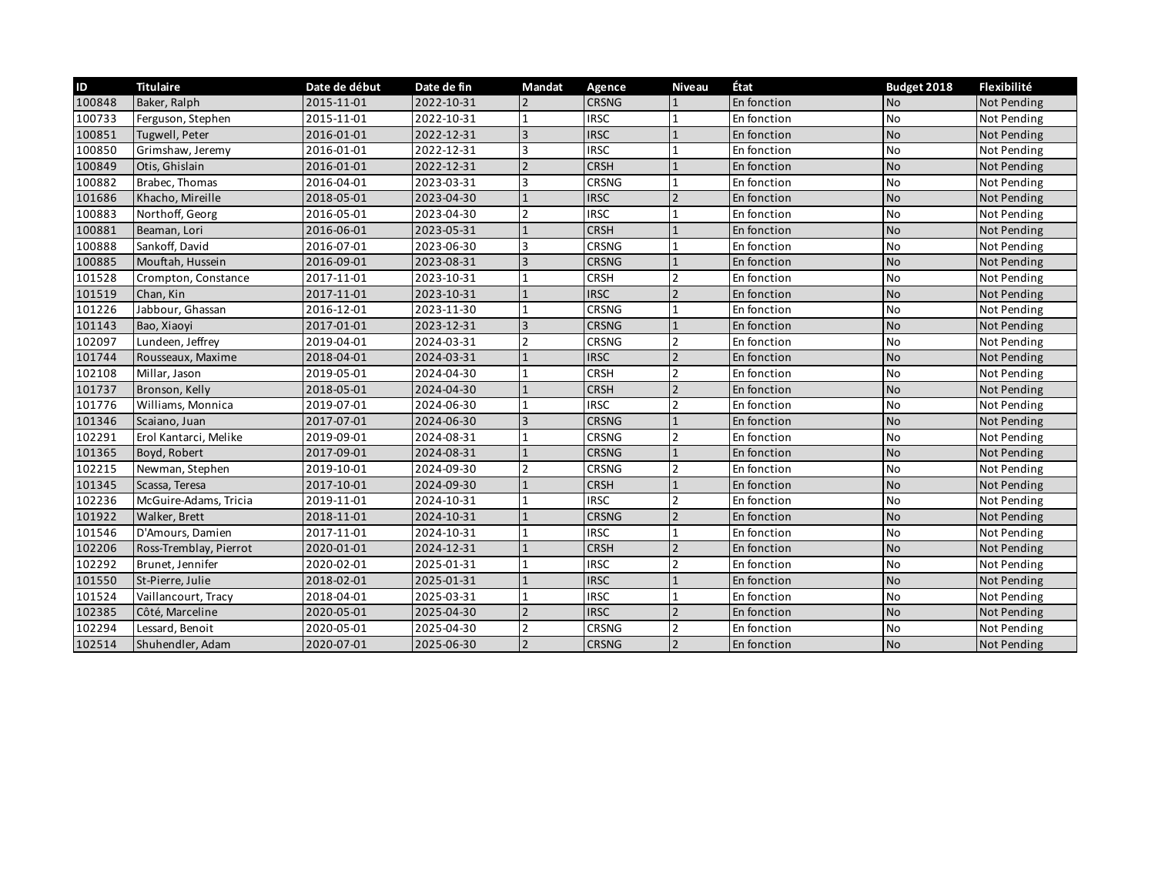| ID     | <b>Titulaire</b>       | Date de début | Date de fin | Mandat                   | Agence       | <b>Niveau</b> | État        | Budget 2018 | Flexibilité |
|--------|------------------------|---------------|-------------|--------------------------|--------------|---------------|-------------|-------------|-------------|
| 100848 | Baker, Ralph           | 2015-11-01    | 2022-10-31  |                          | <b>CRSNG</b> |               | En fonction | <b>No</b>   | Not Pending |
| 100733 | Ferguson, Stephen      | 2015-11-01    | 2022-10-31  |                          | <b>IRSC</b>  |               | En fonction | No          | Not Pending |
| 100851 | Tugwell, Peter         | 2016-01-01    | 2022-12-31  | $\overline{3}$           | <b>IRSC</b>  |               | En fonction | <b>No</b>   | Not Pending |
| 100850 | Grimshaw, Jeremy       | 2016-01-01    | 2022-12-31  | 3                        | <b>IRSC</b>  |               | En fonction | No          | Not Pending |
| 100849 | Otis, Ghislain         | 2016-01-01    | 2022-12-31  |                          | <b>CRSH</b>  |               | En fonction | <b>No</b>   | Not Pending |
| 100882 | Brabec, Thomas         | 2016-04-01    | 2023-03-31  |                          | CRSNG        |               | En fonction | <b>No</b>   | Not Pending |
| 101686 | Khacho, Mireille       | 2018-05-01    | 2023-04-30  |                          | <b>IRSC</b>  |               | En fonction | <b>No</b>   | Not Pending |
| 100883 | Northoff, Georg        | 2016-05-01    | 2023-04-30  |                          | <b>IRSC</b>  |               | En fonction | No          | Not Pending |
| 100881 | Beaman, Lori           | 2016-06-01    | 2023-05-31  |                          | <b>CRSH</b>  |               | En fonction | <b>No</b>   | Not Pending |
| 100888 | Sankoff, David         | 2016-07-01    | 2023-06-30  |                          | <b>CRSNG</b> |               | En fonction | <b>No</b>   | Not Pending |
| 100885 | Mouftah, Hussein       | 2016-09-01    | 2023-08-31  | $\overline{3}$           | <b>CRSNG</b> |               | En fonction | <b>No</b>   | Not Pending |
| 101528 | Crompton, Constance    | 2017-11-01    | 2023-10-31  |                          | <b>CRSH</b>  |               | En fonction | No          | Not Pending |
| 101519 | Chan, Kin              | 2017-11-01    | 2023-10-31  |                          | <b>IRSC</b>  |               | En fonction | <b>No</b>   | Not Pending |
| 101226 | Jabbour, Ghassan       | 2016-12-01    | 2023-11-30  |                          | <b>CRSNG</b> |               | En fonction | No          | Not Pending |
| 101143 | Bao, Xiaoyi            | 2017-01-01    | 2023-12-31  | 3                        | <b>CRSNG</b> |               | En fonction | <b>No</b>   | Not Pending |
| 102097 | Lundeen, Jeffrey       | 2019-04-01    | 2024-03-31  | $\overline{\phantom{a}}$ | <b>CRSNG</b> |               | En fonction | No          | Not Pending |
| 101744 | Rousseaux, Maxime      | 2018-04-01    | 2024-03-31  |                          | <b>IRSC</b>  |               | En fonction | <b>No</b>   | Not Pending |
| 102108 | Millar, Jason          | 2019-05-01    | 2024-04-30  |                          | <b>CRSH</b>  |               | En fonction | No          | Not Pending |
| 101737 | Bronson, Kelly         | 2018-05-01    | 2024-04-30  |                          | <b>CRSH</b>  |               | En fonction | <b>No</b>   | Not Pending |
| 101776 | Williams, Monnica      | 2019-07-01    | 2024-06-30  |                          | <b>IRSC</b>  |               | En fonction | <b>No</b>   | Not Pending |
| 101346 | Scaiano, Juan          | 2017-07-01    | 2024-06-30  |                          | <b>CRSNG</b> |               | En fonction | <b>No</b>   | Not Pending |
| 102291 | Erol Kantarci, Melike  | 2019-09-01    | 2024-08-31  |                          | <b>CRSNG</b> |               | En fonction | No          | Not Pending |
| 101365 | Boyd, Robert           | 2017-09-01    | 2024-08-31  |                          | <b>CRSNG</b> |               | En fonction | <b>No</b>   | Not Pending |
| 102215 | Newman, Stephen        | 2019-10-01    | 2024-09-30  |                          | CRSNG        |               | En fonction | No          | Not Pending |
| 101345 | Scassa, Teresa         | 2017-10-01    | 2024-09-30  |                          | <b>CRSH</b>  |               | En fonction | <b>No</b>   | Not Pending |
| 102236 | McGuire-Adams, Tricia  | 2019-11-01    | 2024-10-31  |                          | <b>IRSC</b>  |               | En fonction | No          | Not Pending |
| 101922 | Walker, Brett          | 2018-11-01    | 2024-10-31  |                          | <b>CRSNG</b> |               | En fonction | <b>No</b>   | Not Pending |
| 101546 | D'Amours, Damien       | 2017-11-01    | 2024-10-31  |                          | <b>IRSC</b>  |               | En fonction | No          | Not Pending |
| 102206 | Ross-Tremblay, Pierrot | 2020-01-01    | 2024-12-31  |                          | <b>CRSH</b>  |               | En fonction | <b>No</b>   | Not Pending |
| 102292 | Brunet, Jennifer       | 2020-02-01    | 2025-01-31  |                          | <b>IRSC</b>  |               | En fonction | No          | Not Pending |
| 101550 | St-Pierre, Julie       | 2018-02-01    | 2025-01-31  |                          | <b>IRSC</b>  |               | En fonction | <b>No</b>   | Not Pending |
| 101524 | Vaillancourt, Tracy    | 2018-04-01    | 2025-03-31  |                          | <b>IRSC</b>  |               | En fonction | No          | Not Pending |
| 102385 | Côté, Marceline        | 2020-05-01    | 2025-04-30  |                          | <b>IRSC</b>  |               | En fonction | <b>No</b>   | Not Pending |
| 102294 | Lessard, Benoit        | 2020-05-01    | 2025-04-30  |                          | CRSNG        |               | En fonction | No          | Not Pending |
| 102514 | Shuhendler, Adam       | 2020-07-01    | 2025-06-30  |                          | <b>CRSNG</b> |               | En fonction | <b>No</b>   | Not Pending |